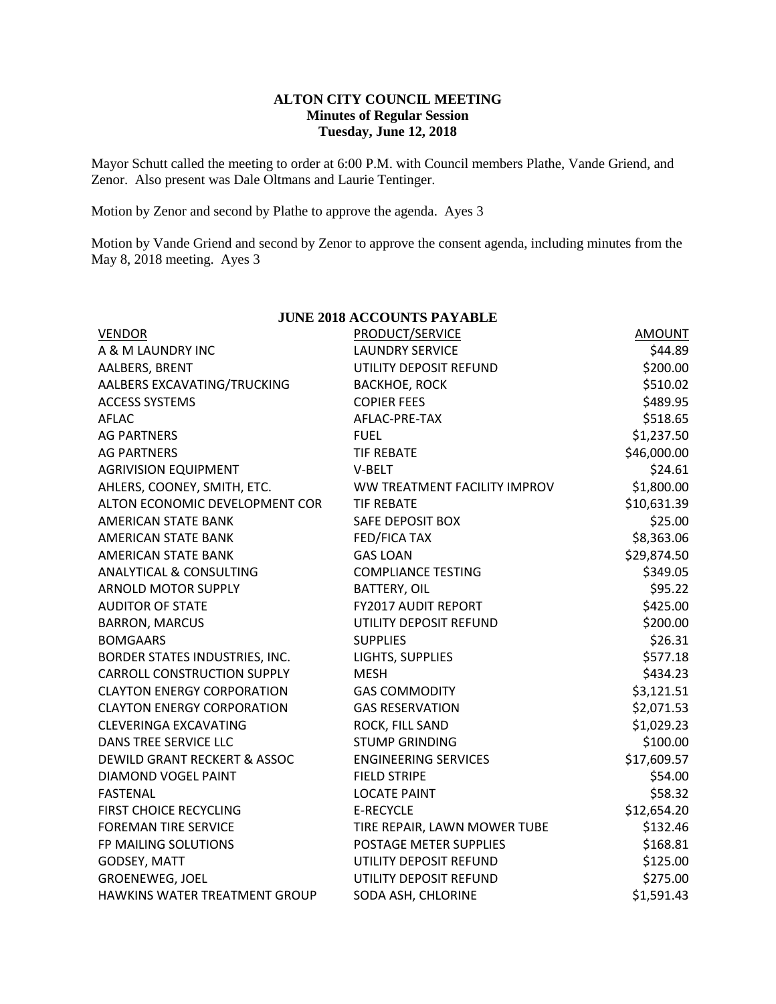## **ALTON CITY COUNCIL MEETING Minutes of Regular Session Tuesday, June 12, 2018**

Mayor Schutt called the meeting to order at 6:00 P.M. with Council members Plathe, Vande Griend, and Zenor. Also present was Dale Oltmans and Laurie Tentinger.

Motion by Zenor and second by Plathe to approve the agenda. Ayes 3

Motion by Vande Griend and second by Zenor to approve the consent agenda, including minutes from the May 8, 2018 meeting. Ayes 3

| <b>JUNE 2018 ACCOUNTS PAYABLE</b>       |                              |               |  |  |  |  |
|-----------------------------------------|------------------------------|---------------|--|--|--|--|
| <b>VENDOR</b>                           | PRODUCT/SERVICE              | <b>AMOUNT</b> |  |  |  |  |
| A & M LAUNDRY INC                       | <b>LAUNDRY SERVICE</b>       | \$44.89       |  |  |  |  |
| AALBERS, BRENT                          | UTILITY DEPOSIT REFUND       | \$200.00      |  |  |  |  |
| AALBERS EXCAVATING/TRUCKING             | <b>BACKHOE, ROCK</b>         | \$510.02      |  |  |  |  |
| <b>ACCESS SYSTEMS</b>                   | <b>COPIER FEES</b>           | \$489.95      |  |  |  |  |
| <b>AFLAC</b>                            | AFLAC-PRE-TAX                | \$518.65      |  |  |  |  |
| <b>AG PARTNERS</b>                      | <b>FUEL</b>                  | \$1,237.50    |  |  |  |  |
| <b>AG PARTNERS</b>                      | <b>TIF REBATE</b>            | \$46,000.00   |  |  |  |  |
| <b>AGRIVISION EQUIPMENT</b>             | V-BELT                       | \$24.61       |  |  |  |  |
| AHLERS, COONEY, SMITH, ETC.             | WW TREATMENT FACILITY IMPROV | \$1,800.00    |  |  |  |  |
| ALTON ECONOMIC DEVELOPMENT COR          | <b>TIF REBATE</b>            | \$10,631.39   |  |  |  |  |
| <b>AMERICAN STATE BANK</b>              | <b>SAFE DEPOSIT BOX</b>      | \$25.00       |  |  |  |  |
| AMERICAN STATE BANK                     | FED/FICA TAX                 | \$8,363.06    |  |  |  |  |
| AMERICAN STATE BANK                     | <b>GAS LOAN</b>              | \$29,874.50   |  |  |  |  |
| <b>ANALYTICAL &amp; CONSULTING</b>      | <b>COMPLIANCE TESTING</b>    | \$349.05      |  |  |  |  |
| <b>ARNOLD MOTOR SUPPLY</b>              | <b>BATTERY, OIL</b>          | \$95.22       |  |  |  |  |
| <b>AUDITOR OF STATE</b>                 | <b>FY2017 AUDIT REPORT</b>   | \$425.00      |  |  |  |  |
| <b>BARRON, MARCUS</b>                   | UTILITY DEPOSIT REFUND       | \$200.00      |  |  |  |  |
| <b>BOMGAARS</b>                         | <b>SUPPLIES</b>              | \$26.31       |  |  |  |  |
| BORDER STATES INDUSTRIES, INC.          | LIGHTS, SUPPLIES             | \$577.18      |  |  |  |  |
| <b>CARROLL CONSTRUCTION SUPPLY</b>      | <b>MESH</b>                  | \$434.23      |  |  |  |  |
| <b>CLAYTON ENERGY CORPORATION</b>       | <b>GAS COMMODITY</b>         | \$3,121.51    |  |  |  |  |
| <b>CLAYTON ENERGY CORPORATION</b>       | <b>GAS RESERVATION</b>       | \$2,071.53    |  |  |  |  |
| <b>CLEVERINGA EXCAVATING</b>            | ROCK, FILL SAND              | \$1,029.23    |  |  |  |  |
| <b>DANS TREE SERVICE LLC</b>            | <b>STUMP GRINDING</b>        | \$100.00      |  |  |  |  |
| <b>DEWILD GRANT RECKERT &amp; ASSOC</b> | <b>ENGINEERING SERVICES</b>  | \$17,609.57   |  |  |  |  |
| <b>DIAMOND VOGEL PAINT</b>              | <b>FIELD STRIPE</b>          | \$54.00       |  |  |  |  |
| <b>FASTENAL</b>                         | <b>LOCATE PAINT</b>          | \$58.32       |  |  |  |  |
| <b>FIRST CHOICE RECYCLING</b>           | <b>E-RECYCLE</b>             | \$12,654.20   |  |  |  |  |
| <b>FOREMAN TIRE SERVICE</b>             | TIRE REPAIR, LAWN MOWER TUBE | \$132.46      |  |  |  |  |
| FP MAILING SOLUTIONS                    | POSTAGE METER SUPPLIES       | \$168.81      |  |  |  |  |
| GODSEY, MATT                            | UTILITY DEPOSIT REFUND       | \$125.00      |  |  |  |  |
| GROENEWEG, JOEL                         | UTILITY DEPOSIT REFUND       | \$275.00      |  |  |  |  |
| HAWKINS WATER TREATMENT GROUP           | SODA ASH, CHLORINE           | \$1,591.43    |  |  |  |  |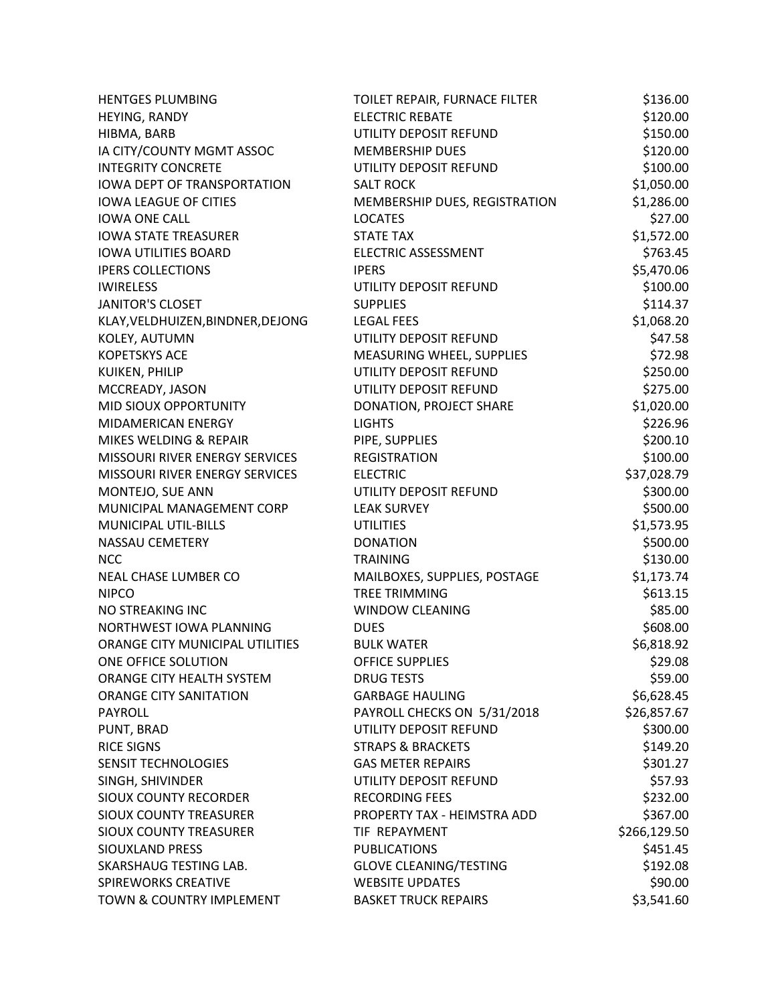| <b>HENTGES PLUMBING</b>            | TOILET REPAIR, FURNACE FILTER | \$136.00     |
|------------------------------------|-------------------------------|--------------|
| HEYING, RANDY                      | <b>ELECTRIC REBATE</b>        | \$120.00     |
| HIBMA, BARB                        | UTILITY DEPOSIT REFUND        | \$150.00     |
| IA CITY/COUNTY MGMT ASSOC          | <b>MEMBERSHIP DUES</b>        | \$120.00     |
| <b>INTEGRITY CONCRETE</b>          | UTILITY DEPOSIT REFUND        | \$100.00     |
| <b>IOWA DEPT OF TRANSPORTATION</b> | <b>SALT ROCK</b>              | \$1,050.00   |
| <b>IOWA LEAGUE OF CITIES</b>       | MEMBERSHIP DUES, REGISTRATION | \$1,286.00   |
| <b>IOWA ONE CALL</b>               | <b>LOCATES</b>                | \$27.00      |
| <b>IOWA STATE TREASURER</b>        | <b>STATE TAX</b>              | \$1,572.00   |
| <b>IOWA UTILITIES BOARD</b>        | <b>ELECTRIC ASSESSMENT</b>    | \$763.45     |
| <b>IPERS COLLECTIONS</b>           | <b>IPERS</b>                  | \$5,470.06   |
| <b>IWIRELESS</b>                   | UTILITY DEPOSIT REFUND        | \$100.00     |
| <b>JANITOR'S CLOSET</b>            | <b>SUPPLIES</b>               | \$114.37     |
| KLAY, VELDHUIZEN, BINDNER, DEJONG  | <b>LEGAL FEES</b>             | \$1,068.20   |
| KOLEY, AUTUMN                      | UTILITY DEPOSIT REFUND        | \$47.58      |
| <b>KOPETSKYS ACE</b>               | MEASURING WHEEL, SUPPLIES     | \$72.98      |
| KUIKEN, PHILIP                     | UTILITY DEPOSIT REFUND        | \$250.00     |
| MCCREADY, JASON                    | UTILITY DEPOSIT REFUND        | \$275.00     |
| MID SIOUX OPPORTUNITY              | DONATION, PROJECT SHARE       | \$1,020.00   |
| MIDAMERICAN ENERGY                 | <b>LIGHTS</b>                 | \$226.96     |
| MIKES WELDING & REPAIR             | PIPE, SUPPLIES                | \$200.10     |
| MISSOURI RIVER ENERGY SERVICES     | <b>REGISTRATION</b>           | \$100.00     |
| MISSOURI RIVER ENERGY SERVICES     | <b>ELECTRIC</b>               | \$37,028.79  |
| MONTEJO, SUE ANN                   | UTILITY DEPOSIT REFUND        | \$300.00     |
| MUNICIPAL MANAGEMENT CORP          | <b>LEAK SURVEY</b>            | \$500.00     |
| <b>MUNICIPAL UTIL-BILLS</b>        | <b>UTILITIES</b>              | \$1,573.95   |
| NASSAU CEMETERY                    | <b>DONATION</b>               | \$500.00     |
| <b>NCC</b>                         | <b>TRAINING</b>               | \$130.00     |
| NEAL CHASE LUMBER CO               | MAILBOXES, SUPPLIES, POSTAGE  | \$1,173.74   |
| <b>NIPCO</b>                       | <b>TREE TRIMMING</b>          | \$613.15     |
| NO STREAKING INC                   | <b>WINDOW CLEANING</b>        | \$85.00      |
| NORTHWEST IOWA PLANNING            | <b>DUES</b>                   | \$608.00     |
| ORANGE CITY MUNICIPAL UTILITIES    | <b>BULK WATER</b>             | \$6,818.92   |
| ONE OFFICE SOLUTION                | <b>OFFICE SUPPLIES</b>        | \$29.08      |
| ORANGE CITY HEALTH SYSTEM          | <b>DRUG TESTS</b>             | \$59.00      |
| <b>ORANGE CITY SANITATION</b>      | <b>GARBAGE HAULING</b>        | \$6,628.45   |
| <b>PAYROLL</b>                     | PAYROLL CHECKS ON 5/31/2018   | \$26,857.67  |
| PUNT, BRAD                         | UTILITY DEPOSIT REFUND        | \$300.00     |
| <b>RICE SIGNS</b>                  | <b>STRAPS &amp; BRACKETS</b>  | \$149.20     |
| SENSIT TECHNOLOGIES                | <b>GAS METER REPAIRS</b>      | \$301.27     |
| SINGH, SHIVINDER                   | UTILITY DEPOSIT REFUND        | \$57.93      |
| <b>SIOUX COUNTY RECORDER</b>       | <b>RECORDING FEES</b>         | \$232.00     |
| <b>SIOUX COUNTY TREASURER</b>      | PROPERTY TAX - HEIMSTRA ADD   | \$367.00     |
| <b>SIOUX COUNTY TREASURER</b>      | TIF REPAYMENT                 | \$266,129.50 |
| SIOUXLAND PRESS                    | <b>PUBLICATIONS</b>           | \$451.45     |
| SKARSHAUG TESTING LAB.             | <b>GLOVE CLEANING/TESTING</b> | \$192.08     |
| <b>SPIREWORKS CREATIVE</b>         | <b>WEBSITE UPDATES</b>        | \$90.00      |
| TOWN & COUNTRY IMPLEMENT           | <b>BASKET TRUCK REPAIRS</b>   | \$3,541.60   |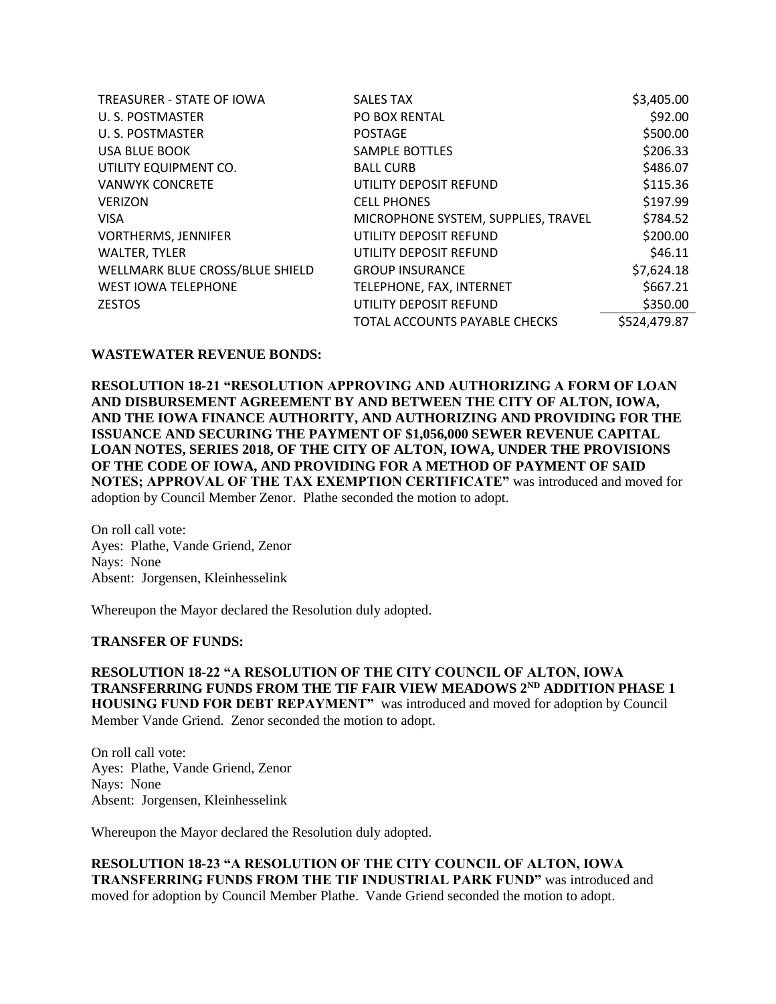| <b>TREASURER - STATE OF IOWA</b> | <b>SALES TAX</b>                    | \$3,405.00   |
|----------------------------------|-------------------------------------|--------------|
| U. S. POSTMASTER                 | PO BOX RENTAL                       | \$92.00      |
| U. S. POSTMASTER                 | <b>POSTAGE</b>                      | \$500.00     |
| <b>USA BLUE BOOK</b>             | SAMPLE BOTTLES                      | \$206.33     |
| UTILITY EQUIPMENT CO.            | <b>BALL CURB</b>                    | \$486.07     |
| <b>VANWYK CONCRETE</b>           | UTILITY DEPOSIT REFUND              | \$115.36     |
| <b>VERIZON</b>                   | <b>CELL PHONES</b>                  | \$197.99     |
| <b>VISA</b>                      | MICROPHONE SYSTEM, SUPPLIES, TRAVEL | \$784.52     |
| <b>VORTHERMS, JENNIFER</b>       | UTILITY DEPOSIT REFUND              | \$200.00     |
| <b>WALTER, TYLER</b>             | UTILITY DEPOSIT REFUND              | \$46.11      |
| WELLMARK BLUE CROSS/BLUE SHIELD  | <b>GROUP INSURANCE</b>              | \$7,624.18   |
| <b>WEST IOWA TELEPHONE</b>       | TELEPHONE, FAX, INTERNET            | \$667.21     |
| <b>ZESTOS</b>                    | UTILITY DEPOSIT REFUND              | \$350.00     |
|                                  | TOTAL ACCOUNTS PAYABLE CHECKS       | \$524,479.87 |

### **WASTEWATER REVENUE BONDS:**

**RESOLUTION 18-21 "RESOLUTION APPROVING AND AUTHORIZING A FORM OF LOAN AND DISBURSEMENT AGREEMENT BY AND BETWEEN THE CITY OF ALTON, IOWA, AND THE IOWA FINANCE AUTHORITY, AND AUTHORIZING AND PROVIDING FOR THE ISSUANCE AND SECURING THE PAYMENT OF \$1,056,000 SEWER REVENUE CAPITAL LOAN NOTES, SERIES 2018, OF THE CITY OF ALTON, IOWA, UNDER THE PROVISIONS OF THE CODE OF IOWA, AND PROVIDING FOR A METHOD OF PAYMENT OF SAID NOTES; APPROVAL OF THE TAX EXEMPTION CERTIFICATE"** was introduced and moved for adoption by Council Member Zenor. Plathe seconded the motion to adopt.

On roll call vote: Ayes: Plathe, Vande Griend, Zenor Nays: None Absent: Jorgensen, Kleinhesselink

Whereupon the Mayor declared the Resolution duly adopted.

## **TRANSFER OF FUNDS:**

**RESOLUTION 18-22 "A RESOLUTION OF THE CITY COUNCIL OF ALTON, IOWA TRANSFERRING FUNDS FROM THE TIF FAIR VIEW MEADOWS 2ND ADDITION PHASE 1 HOUSING FUND FOR DEBT REPAYMENT"** was introduced and moved for adoption by Council Member Vande Griend. Zenor seconded the motion to adopt.

On roll call vote: Ayes: Plathe, Vande Griend, Zenor Nays: None Absent: Jorgensen, Kleinhesselink

Whereupon the Mayor declared the Resolution duly adopted.

**RESOLUTION 18-23 "A RESOLUTION OF THE CITY COUNCIL OF ALTON, IOWA TRANSFERRING FUNDS FROM THE TIF INDUSTRIAL PARK FUND"** was introduced and moved for adoption by Council Member Plathe. Vande Griend seconded the motion to adopt.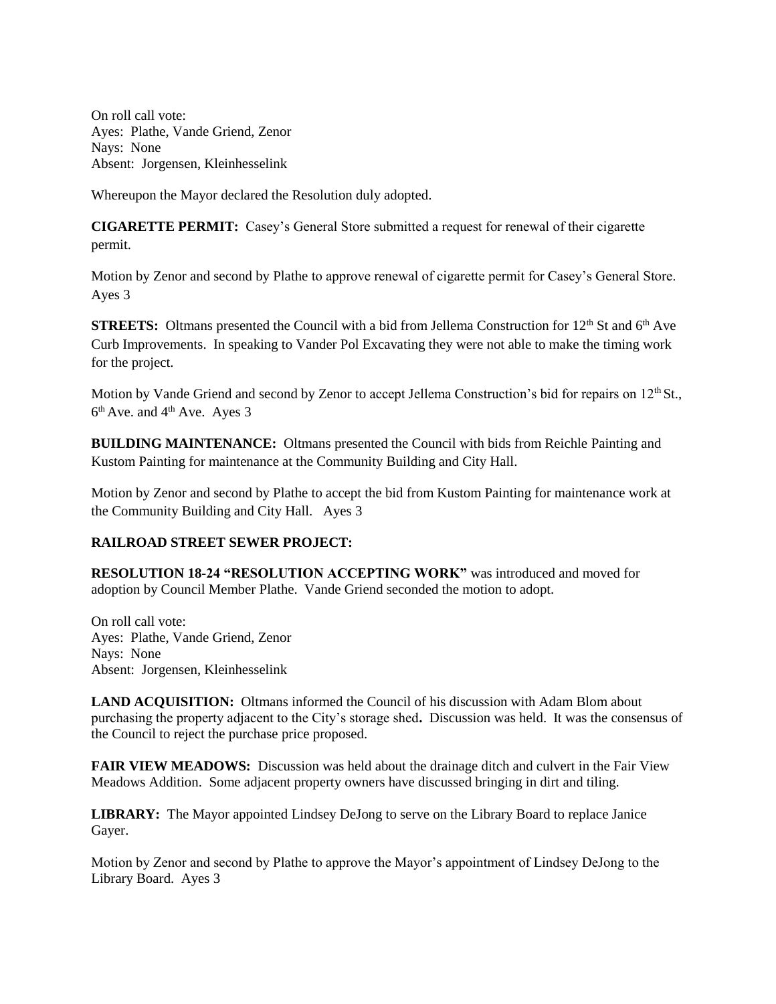On roll call vote: Ayes: Plathe, Vande Griend, Zenor Nays: None Absent: Jorgensen, Kleinhesselink

Whereupon the Mayor declared the Resolution duly adopted.

**CIGARETTE PERMIT:** Casey's General Store submitted a request for renewal of their cigarette permit.

Motion by Zenor and second by Plathe to approve renewal of cigarette permit for Casey's General Store. Ayes 3

**STREETS:** Oltmans presented the Council with a bid from Jellema Construction for 12<sup>th</sup> St and 6<sup>th</sup> Ave Curb Improvements. In speaking to Vander Pol Excavating they were not able to make the timing work for the project.

Motion by Vande Griend and second by Zenor to accept Jellema Construction's bid for repairs on  $12<sup>th</sup>$  St.,  $6<sup>th</sup>$  Ave. and  $4<sup>th</sup>$  Ave. Ayes 3

**BUILDING MAINTENANCE:** Oltmans presented the Council with bids from Reichle Painting and Kustom Painting for maintenance at the Community Building and City Hall.

Motion by Zenor and second by Plathe to accept the bid from Kustom Painting for maintenance work at the Community Building and City Hall. Ayes 3

# **RAILROAD STREET SEWER PROJECT:**

**RESOLUTION 18-24 "RESOLUTION ACCEPTING WORK"** was introduced and moved for adoption by Council Member Plathe. Vande Griend seconded the motion to adopt.

On roll call vote: Ayes: Plathe, Vande Griend, Zenor Nays: None Absent: Jorgensen, Kleinhesselink

**LAND ACQUISITION:** Oltmans informed the Council of his discussion with Adam Blom about purchasing the property adjacent to the City's storage shed**.** Discussion was held. It was the consensus of the Council to reject the purchase price proposed.

**FAIR VIEW MEADOWS:** Discussion was held about the drainage ditch and culvert in the Fair View Meadows Addition. Some adjacent property owners have discussed bringing in dirt and tiling.

**LIBRARY:** The Mayor appointed Lindsey DeJong to serve on the Library Board to replace Janice Gayer.

Motion by Zenor and second by Plathe to approve the Mayor's appointment of Lindsey DeJong to the Library Board. Ayes 3